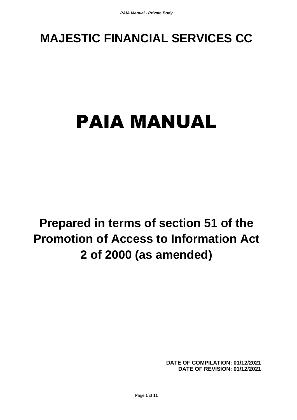# **MAJESTIC FINANCIAL SERVICES CC**

# PAIA MANUAL

**Prepared in terms of section 51 of the Promotion of Access to Information Act 2 of 2000 (as amended)**

> **DATE OF COMPILATION: 01/12/2021 DATE OF REVISION: 01/12/2021**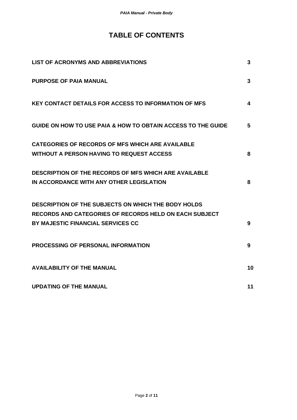# **TABLE OF CONTENTS**

| <b>LIST OF ACRONYMS AND ABBREVIATIONS</b>                                                                | 3            |
|----------------------------------------------------------------------------------------------------------|--------------|
| <b>PURPOSE OF PAIA MANUAL</b>                                                                            | 3            |
| <b>KEY CONTACT DETAILS FOR ACCESS TO INFORMATION OF MFS</b>                                              | 4            |
| GUIDE ON HOW TO USE PAIA & HOW TO OBTAIN ACCESS TO THE GUIDE                                             | 5            |
| <b>CATEGORIES OF RECORDS OF MFS WHICH ARE AVAILABLE</b>                                                  |              |
| <b>WITHOUT A PERSON HAVING TO REQUEST ACCESS</b>                                                         | 8            |
| <b>DESCRIPTION OF THE RECORDS OF MFS WHICH ARE AVAILABLE</b><br>IN ACCORDANCE WITH ANY OTHER LEGISLATION | 8            |
| <b>DESCRIPTION OF THE SUBJECTS ON WHICH THE BODY HOLDS</b>                                               |              |
| <b>RECORDS AND CATEGORIES OF RECORDS HELD ON EACH SUBJECT</b>                                            |              |
| BY MAJESTIC FINANCIAL SERVICES CC                                                                        | 9            |
| <b>PROCESSING OF PERSONAL INFORMATION</b>                                                                | $\mathbf{9}$ |
| <b>AVAILABILITY OF THE MANUAL</b>                                                                        | 10           |
| <b>UPDATING OF THE MANUAL</b>                                                                            | 11           |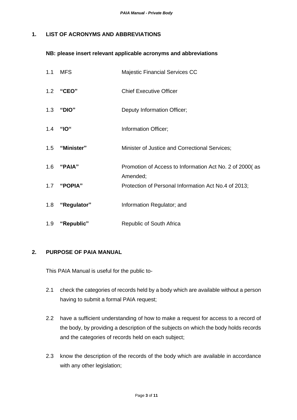#### **1. LIST OF ACRONYMS AND ABBREVIATIONS**

#### **NB: please insert relevant applicable acronyms and abbreviations**

| 1.1 | MFS             | <b>Majestic Financial Services CC</b>                               |
|-----|-----------------|---------------------------------------------------------------------|
|     | 1.2 "CEO"       | <b>Chief Executive Officer</b>                                      |
| 1.3 | "DIO"           | Deputy Information Officer;                                         |
|     | 1.4 "IO"        | Information Officer;                                                |
|     | 1.5 "Minister"  | Minister of Justice and Correctional Services;                      |
|     | 1.6 "PAIA"      | Promotion of Access to Information Act No. 2 of 2000(as<br>Amended; |
|     | 1.7 "POPIA"     | Protection of Personal Information Act No.4 of 2013;                |
|     | 1.8 "Regulator" | Information Regulator; and                                          |
| 1.9 | "Republic"      | Republic of South Africa                                            |

#### **2. PURPOSE OF PAIA MANUAL**

This PAIA Manual is useful for the public to-

- 2.1 check the categories of records held by a body which are available without a person having to submit a formal PAIA request;
- 2.2 have a sufficient understanding of how to make a request for access to a record of the body, by providing a description of the subjects on which the body holds records and the categories of records held on each subject;
- 2.3 know the description of the records of the body which are available in accordance with any other legislation;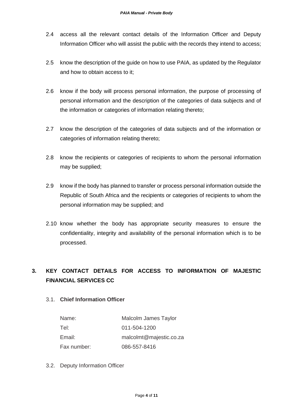- 2.4 access all the relevant contact details of the Information Officer and Deputy Information Officer who will assist the public with the records they intend to access;
- 2.5 know the description of the guide on how to use PAIA, as updated by the Regulator and how to obtain access to it;
- 2.6 know if the body will process personal information, the purpose of processing of personal information and the description of the categories of data subjects and of the information or categories of information relating thereto;
- 2.7 know the description of the categories of data subjects and of the information or categories of information relating thereto;
- 2.8 know the recipients or categories of recipients to whom the personal information may be supplied;
- 2.9 know if the body has planned to transfer or process personal information outside the Republic of South Africa and the recipients or categories of recipients to whom the personal information may be supplied; and
- 2.10 know whether the body has appropriate security measures to ensure the confidentiality, integrity and availability of the personal information which is to be processed.

# **3. KEY CONTACT DETAILS FOR ACCESS TO INFORMATION OF MAJESTIC FINANCIAL SERVICES CC**

#### 3.1. **Chief Information Officer**

| Name:       | Malcolm James Taylor    |
|-------------|-------------------------|
| Tel:        | 011-504-1200            |
| Email:      | malcolmt@majestic.co.za |
| Fax number: | 086-557-8416            |

3.2. Deputy Information Officer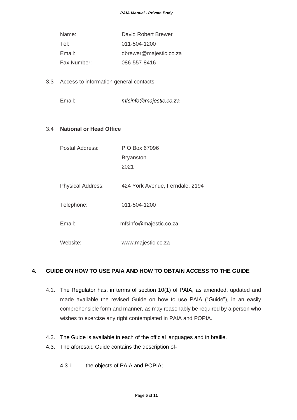| Name:       | David Robert Brewer    |
|-------------|------------------------|
| Tel:        | 011-504-1200           |
| Email:      | dbrewer@majestic.co.za |
| Fax Number: | 086-557-8416           |

- 3.3 Access to information general contacts
	- Email: *mfsinfo@majestic.co.za*

#### 3.4 **National or Head Office**

| P O Box 67096                   |
|---------------------------------|
| <b>Bryanston</b>                |
| 2021                            |
|                                 |
| 424 York Avenue, Ferndale, 2194 |
|                                 |
| 011-504-1200                    |
| mfsinfo@majestic.co.za          |
|                                 |
| www.majestic.co.za              |
|                                 |

#### **4. GUIDE ON HOW TO USE PAIA AND HOW TO OBTAIN ACCESS TO THE GUIDE**

- 4.1. The Regulator has, in terms of section 10(1) of PAIA, as amended, updated and made available the revised Guide on how to use PAIA ("Guide"), in an easily comprehensible form and manner, as may reasonably be required by a person who wishes to exercise any right contemplated in PAIA and POPIA.
- 4.2. The Guide is available in each of the official languages and in braille.
- 4.3. The aforesaid Guide contains the description of-
	- 4.3.1. the objects of PAIA and POPIA;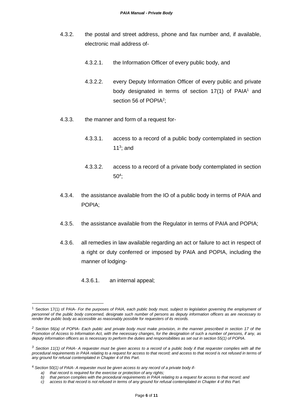- 4.3.2. the postal and street address, phone and fax number and, if available, electronic mail address of-
	- 4.3.2.1. the Information Officer of every public body, and
	- 4.3.2.2. every Deputy Information Officer of every public and private body designated in terms of section  $17(1)$  of PAIA<sup>1</sup> and section 56 of POPIA<sup>2</sup>;
- 4.3.3. the manner and form of a request for-
	- 4.3.3.1. access to a record of a public body contemplated in section 11 $3$ ; and
	- 4.3.3.2. access to a record of a private body contemplated in section 50<sup>4</sup> ;
- 4.3.4. the assistance available from the IO of a public body in terms of PAIA and POPIA;
- 4.3.5. the assistance available from the Regulator in terms of PAIA and POPIA;
- 4.3.6. all remedies in law available regarding an act or failure to act in respect of a right or duty conferred or imposed by PAIA and POPIA, including the manner of lodging-
	- 4.3.6.1. an internal appeal;

<sup>1</sup> Section 17(1) of PAIA- *For the purposes of PAIA, each public body must, subject to legislation governing the employment of personnel of the public body concerned, designate such number of persons as deputy information officers as are necessary to render the public body as accessible as reasonably possible for requesters of its records.*

*<sup>2</sup> Section 56(a) of POPIA- Each public and private body must make provision, in the manner prescribed in section 17 of the Promotion of Access to Information Act, with the necessary changes, for the designation of such a number of persons, if any, as deputy information officers as is necessary to perform the duties and responsibilities as set out in section 55(1) of POPIA.*

*<sup>3</sup> Section 11(1) of PAIA- A requester must be given access to a record of a public body if that requester complies with all the procedural requirements in PAIA relating to a request for access to that record; and access to that record is not refused in terms of any ground for refusal contemplated in Chapter 4 of this Part.*

<sup>4</sup> *Section 50(1) of PAIA- A requester must be given access to any record of a private body if-*

*a) that record is required for the exercise or protection of any rights;*

*b) that person complies with the procedural requirements in PAIA relating to a request for access to that record; and*

*c) access to that record is not refused in terms of any ground for refusal contemplated in Chapter 4 of this Part.*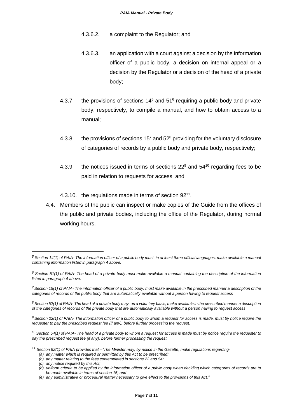- 4.3.6.2. a complaint to the Regulator; and
- 4.3.6.3. an application with a court against a decision by the information officer of a public body, a decision on internal appeal or a decision by the Regulator or a decision of the head of a private body;
- 4.3.7. the provisions of sections  $14<sup>5</sup>$  and  $51<sup>6</sup>$  requiring a public body and private body, respectively, to compile a manual, and how to obtain access to a manual;
- 4.3.8. the provisions of sections  $15<sup>7</sup>$  and  $52<sup>8</sup>$  providing for the voluntary disclosure of categories of records by a public body and private body, respectively;
- 4.3.9. the notices issued in terms of sections  $22^9$  and  $54^{10}$  regarding fees to be paid in relation to requests for access; and
- 4.3.10. the regulations made in terms of section 92<sup>11</sup>.
- 4.4. Members of the public can inspect or make copies of the Guide from the offices of the public and private bodies, including the office of the Regulator, during normal working hours.

*(c) any notice required by this Act;*

*<sup>5</sup> Section 14(1) of PAIA- The information officer of a public body must, in at least three official languages, make available a manual containing information listed in paragraph 4 above.*

*<sup>6</sup> Section 51(1) of PAIA- The head of a private body must make available a manual containing the description of the information listed in paragraph 4 above.*

*<sup>7</sup>Section 15(1) of PAIA- The information officer of a public body, must make available in the prescribed manner a description of the categories of records of the public body that are automatically available without a person having to request access*

*<sup>8</sup> Section 52(1) of PAIA- The head of a private body may, on a voluntary basis, make available in the prescribed manner a description of the categories of records of the private body that are automatically available without a person having to request access*

*<sup>9</sup> Section 22(1) of PAIA- The information officer of a public body to whom a request for access is made, must by notice require the requester to pay the prescribed request fee (if any), before further processing the request.*

<sup>10</sup> *Section 54(1) of PAIA- The head of a private body to whom a request for access is made must by notice require the requester to pay the prescribed request fee (if any), before further processing the request.*

*<sup>11</sup> Section 92(1) of PAIA provides that –"The Minister may, by notice in the Gazette, make regulations regarding-*

*<sup>(</sup>a) any matter which is required or permitted by this Act to be prescribed;*

*<sup>(</sup>b) any matter relating to the fees contemplated in sections 22 and 54;*

*<sup>(</sup>d) uniform criteria to be applied by the information officer of a public body when deciding which categories of records are to be made available in terms of section 15; and*

*<sup>(</sup>e) any administrative or procedural matter necessary to give effect to the provisions of this Act."*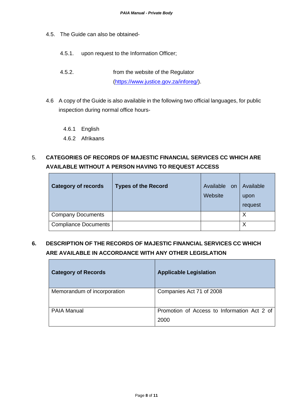- 4.5. The Guide can also be obtained-
	- 4.5.1. upon request to the Information Officer;
	- 4.5.2. from the website of the Regulator [\(https://www.justice.gov.za/inforeg/\)](https://www.justice.gov.za/inforeg/).
- 4.6 A copy of the Guide is also available in the following two official languages, for public inspection during normal office hours-
	- 4.6.1 English
	- 4.6.2 Afrikaans

# 5. **CATEGORIES OF RECORDS OF MAJESTIC FINANCIAL SERVICES CC WHICH ARE AVAILABLE WITHOUT A PERSON HAVING TO REQUEST ACCESS**

| <b>Category of records</b>  | <b>Types of the Record</b> | Available on<br>Website | Available<br>upon<br>request |
|-----------------------------|----------------------------|-------------------------|------------------------------|
| <b>Company Documents</b>    |                            |                         | Χ                            |
| <b>Compliance Documents</b> |                            |                         | Χ                            |

### **6. DESCRIPTION OF THE RECORDS OF MAJESTIC FINANCIAL SERVICES CC WHICH ARE AVAILABLE IN ACCORDANCE WITH ANY OTHER LEGISLATION**

| <b>Category of Records</b>  | <b>Applicable Legislation</b>                       |
|-----------------------------|-----------------------------------------------------|
| Memorandum of incorporation | Companies Act 71 of 2008                            |
| <b>PAIA Manual</b>          | Promotion of Access to Information Act 2 of<br>2000 |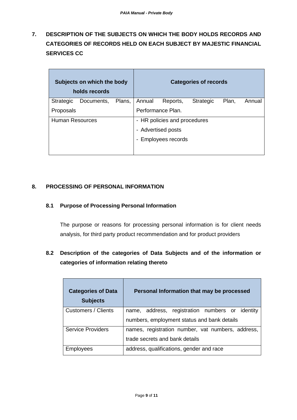**7. DESCRIPTION OF THE SUBJECTS ON WHICH THE BODY HOLDS RECORDS AND CATEGORIES OF RECORDS HELD ON EACH SUBJECT BY MAJESTIC FINANCIAL SERVICES CC**

| Subjects on which the body<br>holds records |            |                              |        | <b>Categories of records</b> |                  |       |        |
|---------------------------------------------|------------|------------------------------|--------|------------------------------|------------------|-------|--------|
| <b>Strategic</b>                            | Documents, | Plans,                       | Annual | Reports,                     | <b>Strategic</b> | Plan, | Annual |
| Proposals                                   |            |                              |        | Performance Plan.            |                  |       |        |
| <b>Human Resources</b>                      |            | - HR policies and procedures |        |                              |                  |       |        |
|                                             |            |                              |        | - Advertised posts           |                  |       |        |
|                                             |            |                              |        | - Employees records          |                  |       |        |
|                                             |            |                              |        |                              |                  |       |        |

#### **8. PROCESSING OF PERSONAL INFORMATION**

#### **8.1 Purpose of Processing Personal Information**

The purpose or reasons for processing personal information is for client needs analysis, for third party product recommendation and for product providers

# **8.2 Description of the categories of Data Subjects and of the information or categories of information relating thereto**

| <b>Categories of Data</b><br><b>Subjects</b> | Personal Information that may be processed         |
|----------------------------------------------|----------------------------------------------------|
| Customers / Clients                          | address, registration numbers or identity<br>name, |
|                                              | numbers, employment status and bank details        |
| <b>Service Providers</b>                     | names, registration number, vat numbers, address,  |
|                                              | trade secrets and bank details                     |
| <b>Employees</b>                             | address, qualifications, gender and race           |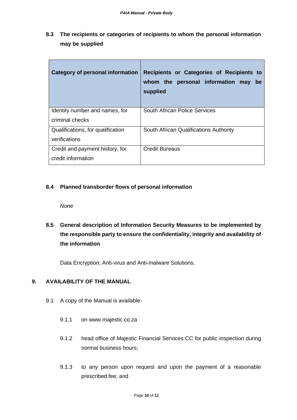**8.3 The recipients or categories of recipients to whom the personal information may be supplied**

| <b>Category of personal information</b> | Recipients or Categories of Recipients to<br>whom the personal information may<br>be<br>supplied |
|-----------------------------------------|--------------------------------------------------------------------------------------------------|
| Identity number and names, for          | South African Police Services                                                                    |
| criminal checks                         |                                                                                                  |
| Qualifications, for qualification       | South African Qualifications Authority                                                           |
| verifications                           |                                                                                                  |
| Credit and payment history, for         | <b>Credit Bureaus</b>                                                                            |
| credit information                      |                                                                                                  |

#### **8.4 Planned transborder flows of personal information**

*None*

**8.5 General description of Information Security Measures to be implemented by the responsible party to ensure the confidentiality, integrity and availability of the information**

Data Encryption; Anti-virus and Anti-malware Solutions.

#### **9. AVAILABILITY OF THE MANUAL**

- 9.1 A copy of the Manual is available-
	- 9.1.1 on www.majestic.co.za
	- 9.1.2 head office of Majestic Financial Services CC for public inspection during normal business hours;
	- 9.1.3 to any person upon request and upon the payment of a reasonable prescribed fee; and